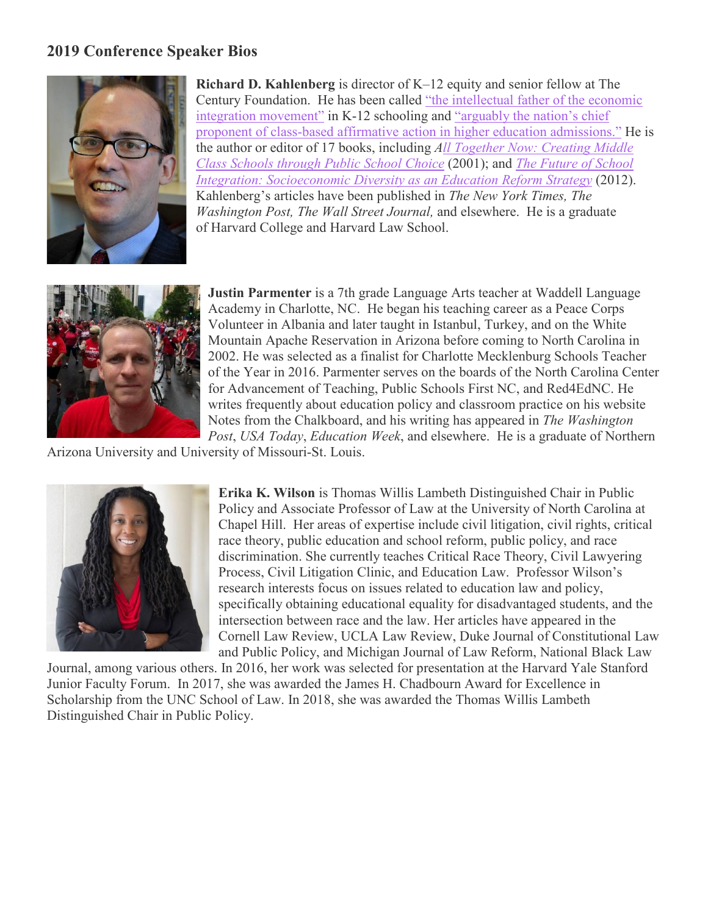## **2019 Conference Spe[aker Bios](https://www.publicschoolsfirstnc.org/wp-content/uploads/2019/08/KahlenbergProfile.png)**



**Richard D. Kahlenberg** is director of K–12 equity and senior fellow at The Century Foundation. He has been called "the [intellectual](https://www.amazon.com/Children-Room-E4-American-Education/dp/156512488X) father of the economic integration [movement"](https://www.amazon.com/Children-Room-E4-American-Education/dp/156512488X) in K-12 schooling and ["arguably](http://diverseeducation.com/article/3029/) the nation's chief proponent of class-based affirmative action in higher education [admissions."](http://diverseeducation.com/article/3029/) He is the author or editor of 17 books, including *All [Together](https://tcf.org/publications/2001/2/pb46/) Now: Creating Middle Class Schools [through](https://tcf.org/publications/2001/2/pb46/) Public School Choice* (2001); and *The Future of [School](https://tcf.org/publications/2012/3/the-future-of-school-integration) Integration: [Socioeconomic](https://tcf.org/publications/2012/3/the-future-of-school-integration) Diversity as an Education Reform Strategy* (2012). Kahlenberg's articles have been published in *The New York Times, The Washington Post, The Wall Street Journal,* and elsewhere. He is a graduate of Harvard College and Harvard Law School.



**Justin Parmenter** is a 7th grade Language Arts teacher at Waddell Language Academy in Charlotte, NC. He began his teaching career as a Peace Corps Volunteer in Albania and later taught in Istanbul, Turkey, and on the White Mountain Apache Reservation in Arizona before coming to North Carolina in 2002. He was selected as a finalist for Charlotte Mecklenburg Schools Teacher of the Year in 2016. Parmenter serves on the boards of the North Carolina Center for Advancement of Teaching, Public Schools First NC, and Red4EdNC. He writes frequently about education policy and classroom practice on his website Notes from the Chalkboard, and his writing has appeared in *The Washington Post*, *USA Today*, *Education Week*, and elsewhere. He is a graduate of Northern

Arizona University and University of Missouri-St. Louis.



**Erika K. Wilson** is Thomas Willis Lambeth Distinguished Chair in Public Policy and Associate Professor of Law at the University of North Carolina at Chapel Hill. Her areas of expertise include civil litigation, civil rights, critical race theory, public education and school reform, public policy, and race discrimination. She currently teaches Critical Race Theory, Civil Lawyering Process, Civil Litigation Clinic, and Education Law. Professor Wilson's research interests focus on issues related to education law and policy, specifically obtaining educational equality for disadvantaged students, and the intersection between race and the law. Her articles have appeared in the Cornell Law Review, UCLA Law Review, Duke Journal of Constitutional Law and Public Policy, and Michigan Journal of Law Reform, National Black Law

Journal, among various others. In 2016, her work was selected for presentation at the Harvard Yale Stanford Junior Faculty Forum. In 2017, she was awarded the James H. Chadbourn Award for Excellence in Scholarship from the UNC School of Law. In 2018, she was awarded the Thomas Willis Lambeth Distinguished Chair in Public Policy.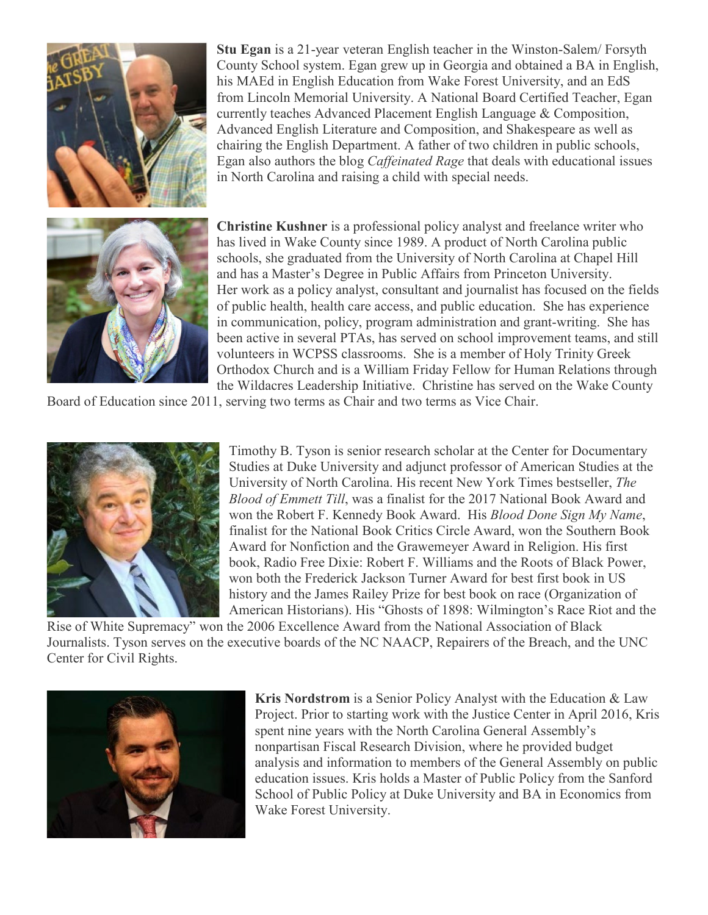

**Stu Egan** is a 21-year veteran English teacher in the Winston-Salem/ Forsyth County School system. Egan grew up in Georgia and obtained a BA in English, his MAEd in English Education from Wake Forest University, and an EdS from Lincoln Memorial University. A National Board Certified Teacher, Egan currently teaches Advanced Placement English Language & Composition, Advanced English Literature and Composition, and Shakespeare as well as chairing the English Department. A father of two children in public schools, Egan also authors the blog *Caffeinated Rage* that deals with educational issues in North Carolina and raising a child with special needs.

**Christine Kushner** is a professional policy analyst and freelance writer who has lived in Wake County since 1989. A product of North Carolina public schools, she graduated from the University of North Carolina at Chapel Hill and has a Master's Degree in Public Affairs from Princeton University. Her work as a policy analyst, consultant and journalist has focused on the fields of public health, health care access, and public education. She has experience in communication, policy, program administration and grant-writing. She has been active in several PTAs, has served on school improvement teams, and still volunteers in WCPSS classrooms. She is a member of Holy Trinity Greek Orthodox Church and is a William Friday Fellow for Human Relations through the Wildacres Leadership Initiative. Christine has served on the Wake County

Board of Education since 2011, serving two terms as Chair and two terms as Vice Chair.



Timothy B. Tyson is senior research scholar at the Center for Documentary Studies at Duke University and adjunct professor of American Studies at the University of North Carolina. His recent New York Times bestseller, *The Blood of Emmett Till*, was a finalist for the 2017 National Book Award and won the Robert F. Kennedy Book Award. His *Blood Done Sign My Name*, finalist for the National Book Critics Circle Award, won the Southern Book Award for Nonfiction and the Grawemeyer Award in Religion. His first book, Radio Free Dixie: Robert F. Williams and the Roots of Black Power, won both the Frederick Jackson Turner Award for best first book in US history and the James Railey Prize for best book on race (Organization of American Historians). His "Ghosts of 1898: Wilmington's Race Riot and the

Rise of White Supremacy" won the 2006 Excellence Award from the National Association of Black Journalists. Tyson serves on the executive boards of the NC NAACP, Repairers of the Breach, and the UNC Center for Civil Rights.



**Kris Nordstrom** is a Senior Policy Analyst with the Education & Law Project. Prior to starting work with the Justice Center in April 2016, Kris spent nine years with the North Carolina General Assembly's nonpartisan Fiscal Research Division, where he provided budget analysis and information to members of the General Assembly on public education issues. Kris holds a Master of Public Policy from the Sanford School of Public Policy at Duke University and BA in Economics from Wake Forest University.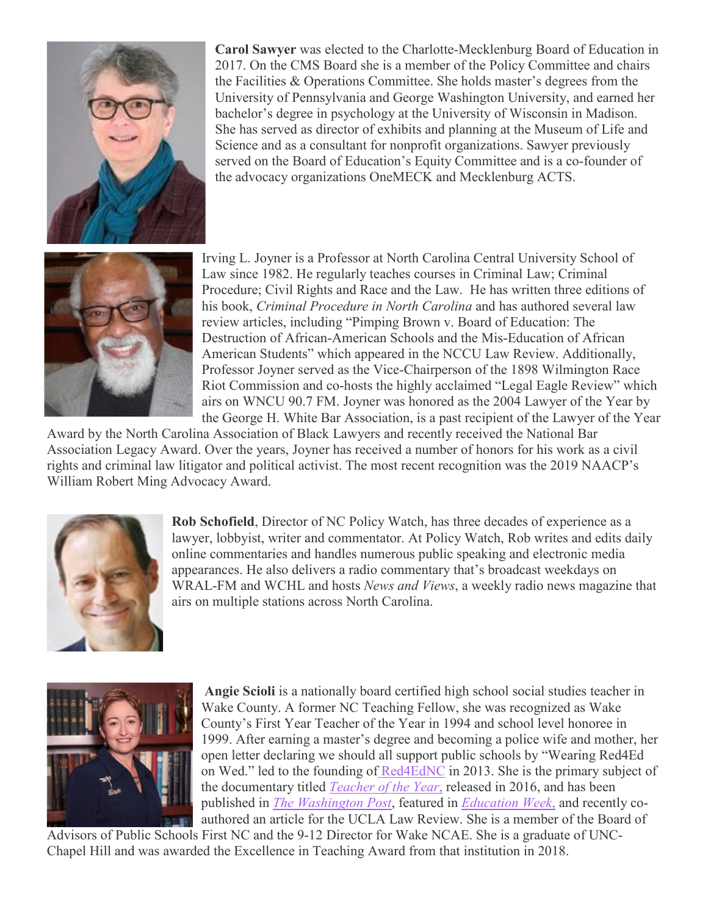

**Carol Sawyer** was elected to the Charlotte-Mecklenburg Board of Education in 2017. On the CMS Board she is a member of the Policy Committee and chairs the Facilities & Operations Committee. She holds master's degrees from the University of Pennsylvania and George Washington University, and earned her bachelor's degree in psychology at the University of Wisconsin in Madison. She has served as director of exhibits and planning at the Museum of Life and Science and as a consultant for nonprofit organizations. Sawyer previously served on the Board of Education's Equity Committee and is a co-founder of the advocacy organizations OneMECK and Mecklenburg ACTS.



Irving L. Joyner is a Professor at North Carolina Central University School of Law since 1982. He regularly teaches courses in Criminal Law; Criminal Procedure; Civil Rights and Race and the Law. He has written three editions of his book, *Criminal Procedure in North Carolina* and has authored several law review articles, including "Pimping Brown v. Board of Education: The Destruction of African-American Schools and the Mis-Education of African American Students" which appeared in the NCCU Law Review. Additionally, Professor Joyner served as the Vice-Chairperson of the 1898 Wilmington Race Riot Commission and co-hosts the highly acclaimed "Legal Eagle Review" which airs on WNCU 90.7 FM. Joyner was honored as the 2004 Lawyer of the Year by the George H. White Bar Association, is a past recipient of the Lawyer of the Year

Award by the North Carolina Association of Black Lawyers and recently received the National Bar Association Legacy Award. Over the years, Joyner has received a number of honors for his work as a civil rights and criminal law litigator and political activist. The most recent recognition was the 2019 NAACP's William Robert Ming Advocacy Award.



**Rob Schofield**, Director of NC Policy Watch, has three decades of experience as a lawyer, lobbyist, writer and commentator. At Policy Watch, Rob writes and edits daily online commentaries and handles numerous public speaking and electronic media appearances. He also delivers a radio commentary that's broadcast weekdays on WRAL-FM and WCHL and hosts *News and Views*, a weekly radio news magazine that airs on multiple stations across North Carolina.



**Angie Scioli** is a nationally board certified high school social studies teacher in Wake County. A former NC Teaching Fellow, she was recognized as Wake County's First Year Teacher of the Year in 1994 and school level honoree in 1999. After earning a master's degree and becoming a police wife and mother, her open letter declaring we should all support public schools by "Wearing Red4Ed on Wed." led to the founding of [Red4EdNC](https://www.red4ednc.com/) in 2013. She is the primary subject of the documentary titled *[Teacher](http://www.teacheroftheyearfilm.com/) of the Year*, released in 2016, and has been published in *The [Washington](https://www.washingtonpost.com/news/answer-sheet/wp/2018/04/09/n-c-teacher-takes-on-critic-who-said-teachers-have-it-easy-and-should-stop-complaining/?noredirect=on) Post*, featured in *[Education](https://www.edweek.org/ew/articles/2018/12/12/teachers-came-together-to-strike-what-will.html) Week*, and recently coauthored an article for the UCLA Law Review. She is a member of the Board of

Advisors of Public Schools First NC and the 9-12 Director for Wake NCAE. She is a graduate of UNC-Chapel Hill and was awarded the Excellence in Teaching Award from that institution in 2018.